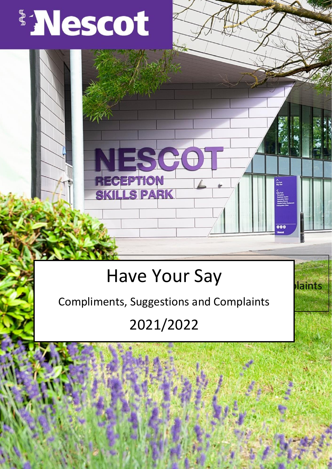

# Have Your Say

 $\mathop{\simeq}\limits_{\scriptscriptstyle \sim}^{\scriptscriptstyle \wedge}\,$ 

E

880

laints

**RECEPTION** 

**KILLS PARK** 

Compliments, Suggestions and Complaints

## 2021/2022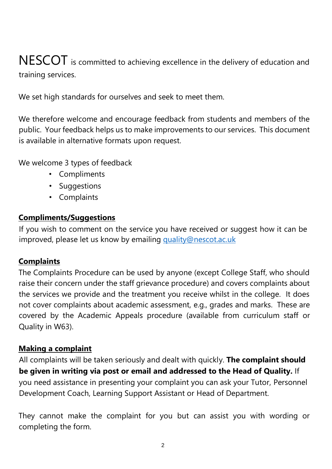## NESCOT is committed to achieving excellence in the delivery of education and training services.

We set high standards for ourselves and seek to meet them.

We therefore welcome and encourage feedback from students and members of the public. Your feedback helps us to make improvements to our services. This document is available in alternative formats upon request.

We welcome 3 types of feedback

- Compliments
- Suggestions
- Complaints

#### **Compliments/Suggestions**

If you wish to comment on the service you have received or suggest how it can be improved, please let us know by emailing [quality@nescot.ac.uk](mailto:quality@nescot.ac.uk)

#### **Complaints**

The Complaints Procedure can be used by anyone (except College Staff, who should raise their concern under the staff grievance procedure) and covers complaints about the services we provide and the treatment you receive whilst in the college. It does not cover complaints about academic assessment, e.g., grades and marks. These are covered by the Academic Appeals procedure (available from curriculum staff or Quality in W63).

#### **Making a complaint**

All complaints will be taken seriously and dealt with quickly. **The complaint should be given in writing via post or email and addressed to the Head of Quality.** If you need assistance in presenting your complaint you can ask your Tutor, Personnel Development Coach, Learning Support Assistant or Head of Department.

They cannot make the complaint for you but can assist you with wording or completing the form.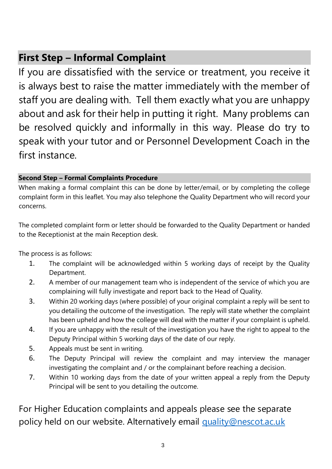## **First Step – Informal Complaint**

If you are dissatisfied with the service or treatment, you receive it is always best to raise the matter immediately with the member of staff you are dealing with. Tell them exactly what you are unhappy about and ask for their help in putting it right. Many problems can be resolved quickly and informally in this way. Please do try to speak with your tutor and or Personnel Development Coach in the first instance.

#### **Second Step – Formal Complaints Procedure**

When making a formal complaint this can be done by letter/email, or by completing the college complaint form in this leaflet. You may also telephone the Quality Department who will record your concerns.

The completed complaint form or letter should be forwarded to the Quality Department or handed to the Receptionist at the main Reception desk.

The process is as follows:

- 1. The complaint will be acknowledged within 5 working days of receipt by the Quality Department.
- 2. A member of our management team who is independent of the service of which you are complaining will fully investigate and report back to the Head of Quality.
- 3. Within 20 working days (where possible) of your original complaint a reply will be sent to you detailing the outcome of the investigation. The reply will state whether the complaint has been upheld and how the college will deal with the matter if your complaint is upheld.
- 4. If you are unhappy with the result of the investigation you have the right to appeal to the Deputy Principal within 5 working days of the date of our reply.
- 5. Appeals must be sent in writing.
- 6. The Deputy Principal will review the complaint and may interview the manager investigating the complaint and / or the complainant before reaching a decision.
- 7. Within 10 working days from the date of your written appeal a reply from the Deputy Principal will be sent to you detailing the outcome.

For Higher Education complaints and appeals please see the separate policy held on our website. Alternatively email [quality@nescot.ac.uk](mailto:quality@nescot.ac.uk)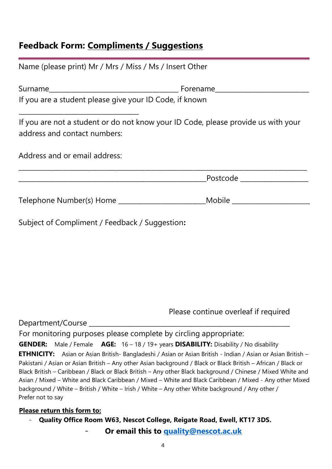#### **Feedback Form: Compliments / Suggestions**

| Name (please print) Mr / Mrs / Miss / Ms / Insert Other                                                           |                                |  |
|-------------------------------------------------------------------------------------------------------------------|--------------------------------|--|
|                                                                                                                   |                                |  |
| If you are a student please give your ID Code, if known                                                           |                                |  |
| If you are not a student or do not know your ID Code, please provide us with your<br>address and contact numbers: |                                |  |
| Address and or email address:                                                                                     |                                |  |
|                                                                                                                   | Postcode ____________________  |  |
|                                                                                                                   | _Mobile ______________________ |  |
| Subject of Compliment / Feedback / Suggestion:                                                                    |                                |  |
|                                                                                                                   |                                |  |
|                                                                                                                   |                                |  |
|                                                                                                                   |                                |  |
|                                                                                                                   |                                |  |

Please continue overleaf if required

Department/Course

For monitoring purposes please complete by circling appropriate:

**GENDER:** Male / Female **AGE:** 16 – 18 / 19+ years **DISABILITY:** Disability / No disability **ETHNICITY:** Asian or Asian British- Bangladeshi / Asian or Asian British - Indian / Asian or Asian British – Pakistani / Asian or Asian British – Any other Asian background / Black or Black British – African / Black or Black British – Caribbean / Black or Black British – Any other Black background / Chinese / Mixed White and Asian / Mixed – White and Black Caribbean / Mixed – White and Black Caribbean / Mixed - Any other Mixed background / White – British / White – Irish / White – Any other White background / Any other / Prefer not to say

#### **Please return this form to:**

- **Quality Office Room W63, Nescot College, Reigate Road, Ewell, KT17 3DS.** 

- **Or email this to [quality@nescot.ac.uk](mailto:quality@nescot.ac.uk)**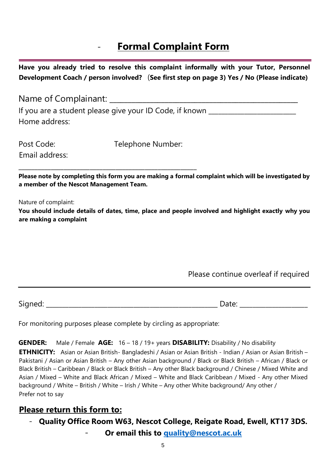### **Formal Complaint Form**

**Have you already tried to resolve this complaint informally with your Tutor, Personnel Development Coach / person involved?** (**See first step on page 3) Yes / No (Please indicate)**

Name of Complainant: \_\_\_\_\_\_\_\_\_\_\_\_\_\_\_\_\_\_\_\_\_\_\_\_\_\_\_\_\_\_\_\_\_\_\_\_\_\_\_\_\_\_\_\_\_\_\_\_\_\_\_ If you are a student please give your ID Code, if known \_\_\_\_\_\_\_\_\_\_\_\_\_\_\_\_\_\_\_\_\_\_\_\_ Home address:

Email address:

Post Code: Telephone Number:

**Please note by completing this form you are making a formal complaint which will be investigated by a member of the Nescot Management Team.** 

Nature of complaint:

**You should include details of dates, time, place and people involved and highlight exactly why you are making a complaint**

#### Please continue overleaf if required

Signed: \_\_\_\_\_\_\_\_\_\_\_\_\_\_\_\_\_\_\_\_\_\_\_\_\_\_\_\_\_\_\_\_\_\_\_\_\_\_\_\_\_\_\_\_\_\_\_\_\_\_\_\_\_ Date: \_\_\_\_\_\_\_\_\_\_\_\_\_\_\_\_\_\_\_\_\_

For monitoring purposes please complete by circling as appropriate:

\_\_\_\_\_\_\_\_\_\_\_\_\_\_\_\_\_\_\_\_\_\_\_\_\_\_\_\_\_\_\_\_\_\_\_\_\_\_\_\_\_\_\_\_\_\_\_\_\_\_\_\_\_\_\_

**GENDER:** Male / Female **AGE:** 16 – 18 / 19+ years **DISABILITY:** Disability / No disability

**ETHNICITY:** Asian or Asian British- Bangladeshi / Asian or Asian British - Indian / Asian or Asian British – Pakistani / Asian or Asian British – Any other Asian background / Black or Black British – African / Black or Black British – Caribbean / Black or Black British – Any other Black background / Chinese / Mixed White and Asian / Mixed – White and Black African / Mixed – White and Black Caribbean / Mixed - Any other Mixed background / White – British / White – Irish / White – Any other White background/ Any other / Prefer not to say

#### **Please return this form to:**

- **Quality Office Room W63, Nescot College, Reigate Road, Ewell, KT17 3DS.** 

- **Or email this to [quality@nescot.ac.uk](mailto:quality@nescot.ac.uk)**